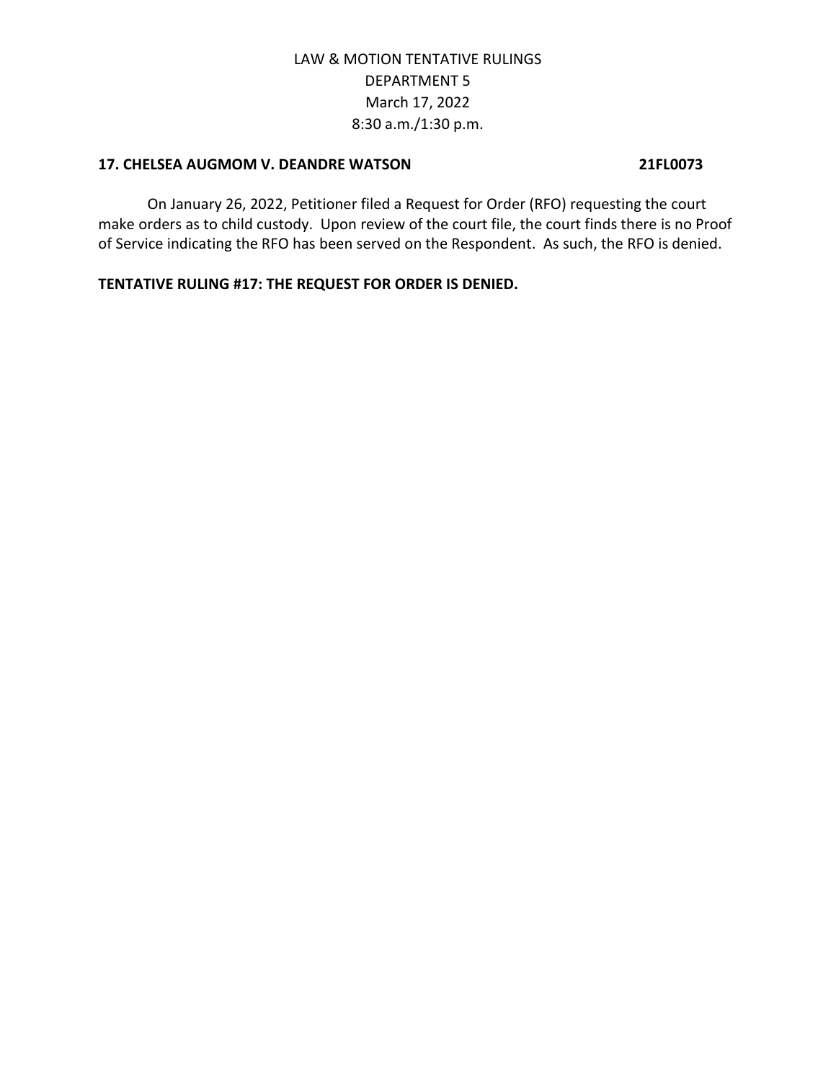### **17. CHELSEA AUGMOM V. DEANDRE WATSON 21FL0073**

On January 26, 2022, Petitioner filed a Request for Order (RFO) requesting the court make orders as to child custody. Upon review of the court file, the court finds there is no Proof of Service indicating the RFO has been served on the Respondent. As such, the RFO is denied.

**TENTATIVE RULING #17: THE REQUEST FOR ORDER IS DENIED.**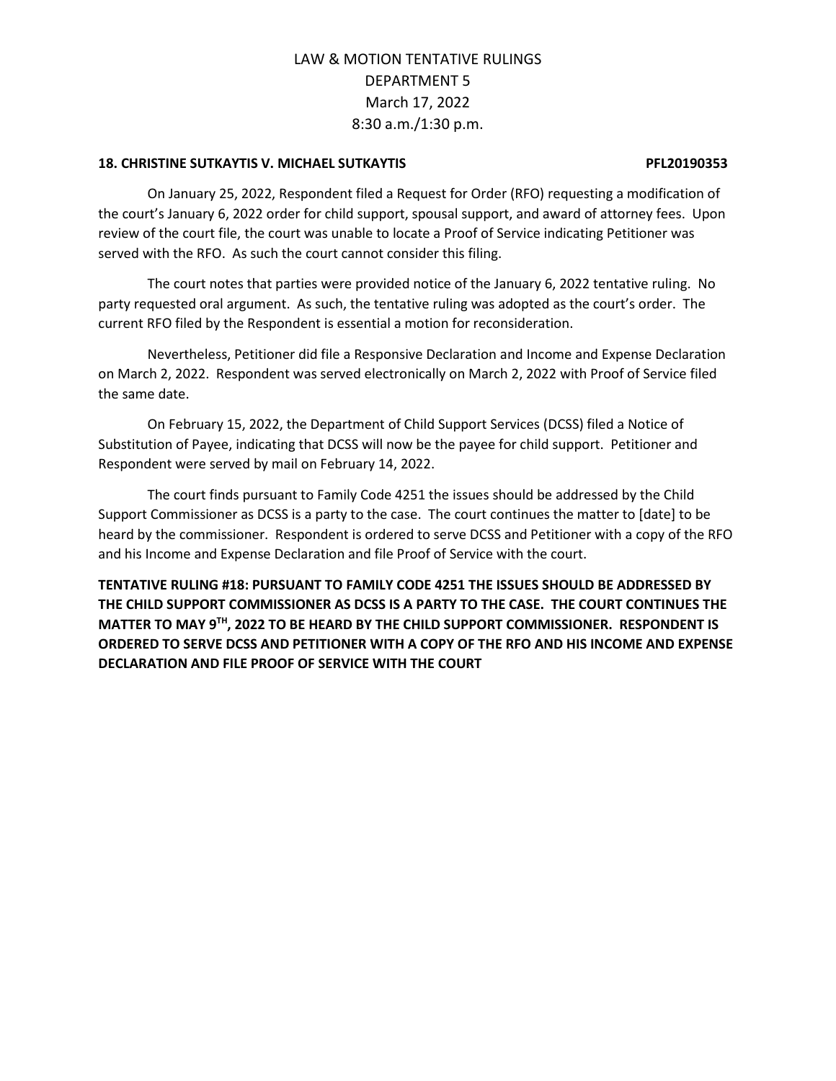### **18. CHRISTINE SUTKAYTIS V. MICHAEL SUTKAYTIS PFL20190353**

On January 25, 2022, Respondent filed a Request for Order (RFO) requesting a modification of the court's January 6, 2022 order for child support, spousal support, and award of attorney fees. Upon review of the court file, the court was unable to locate a Proof of Service indicating Petitioner was served with the RFO. As such the court cannot consider this filing.

The court notes that parties were provided notice of the January 6, 2022 tentative ruling. No party requested oral argument. As such, the tentative ruling was adopted as the court's order. The current RFO filed by the Respondent is essential a motion for reconsideration.

Nevertheless, Petitioner did file a Responsive Declaration and Income and Expense Declaration on March 2, 2022. Respondent was served electronically on March 2, 2022 with Proof of Service filed the same date.

On February 15, 2022, the Department of Child Support Services (DCSS) filed a Notice of Substitution of Payee, indicating that DCSS will now be the payee for child support. Petitioner and Respondent were served by mail on February 14, 2022.

The court finds pursuant to Family Code 4251 the issues should be addressed by the Child Support Commissioner as DCSS is a party to the case. The court continues the matter to [date] to be heard by the commissioner. Respondent is ordered to serve DCSS and Petitioner with a copy of the RFO and his Income and Expense Declaration and file Proof of Service with the court.

**TENTATIVE RULING #18: PURSUANT TO FAMILY CODE 4251 THE ISSUES SHOULD BE ADDRESSED BY THE CHILD SUPPORT COMMISSIONER AS DCSS IS A PARTY TO THE CASE. THE COURT CONTINUES THE MATTER TO MAY 9TH, 2022 TO BE HEARD BY THE CHILD SUPPORT COMMISSIONER. RESPONDENT IS ORDERED TO SERVE DCSS AND PETITIONER WITH A COPY OF THE RFO AND HIS INCOME AND EXPENSE DECLARATION AND FILE PROOF OF SERVICE WITH THE COURT**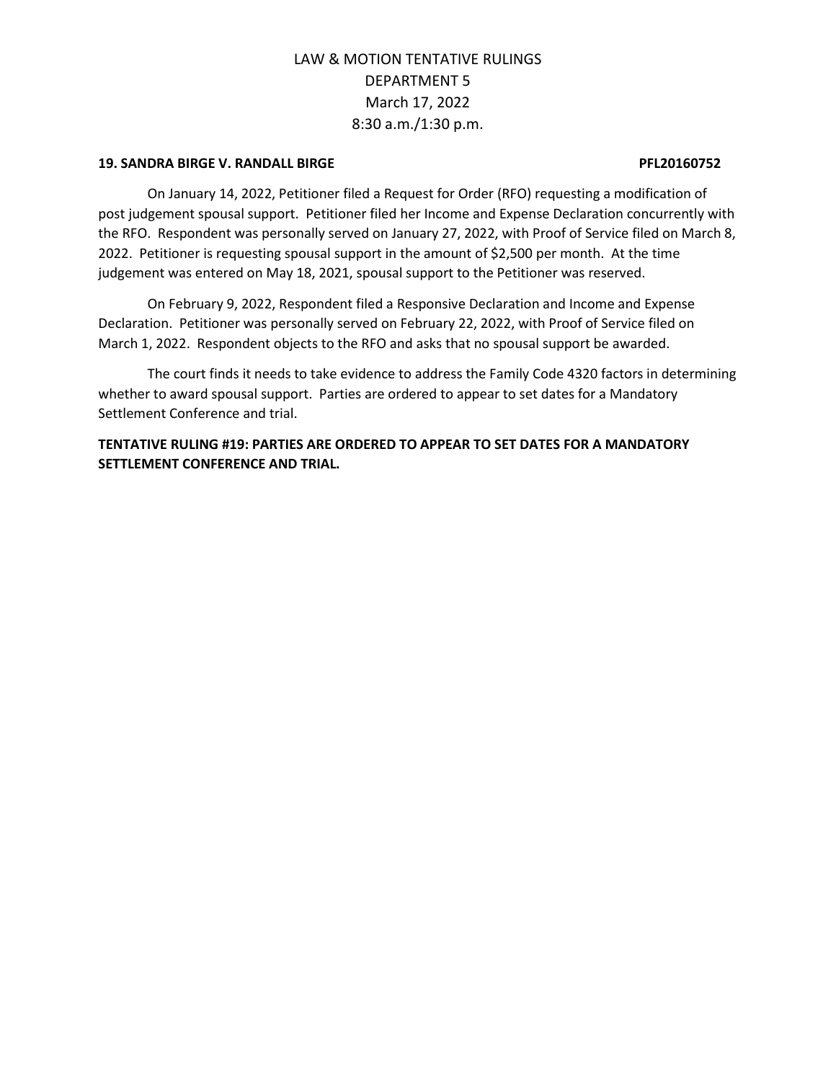### **19. SANDRA BIRGE V. RANDALL BIRGE PFL20160752**

On January 14, 2022, Petitioner filed a Request for Order (RFO) requesting a modification of post judgement spousal support. Petitioner filed her Income and Expense Declaration concurrently with the RFO. Respondent was personally served on January 27, 2022, with Proof of Service filed on March 8, 2022. Petitioner is requesting spousal support in the amount of \$2,500 per month. At the time judgement was entered on May 18, 2021, spousal support to the Petitioner was reserved.

On February 9, 2022, Respondent filed a Responsive Declaration and Income and Expense Declaration. Petitioner was personally served on February 22, 2022, with Proof of Service filed on March 1, 2022. Respondent objects to the RFO and asks that no spousal support be awarded.

The court finds it needs to take evidence to address the Family Code 4320 factors in determining whether to award spousal support. Parties are ordered to appear to set dates for a Mandatory Settlement Conference and trial.

**TENTATIVE RULING #19: PARTIES ARE ORDERED TO APPEAR TO SET DATES FOR A MANDATORY SETTLEMENT CONFERENCE AND TRIAL.**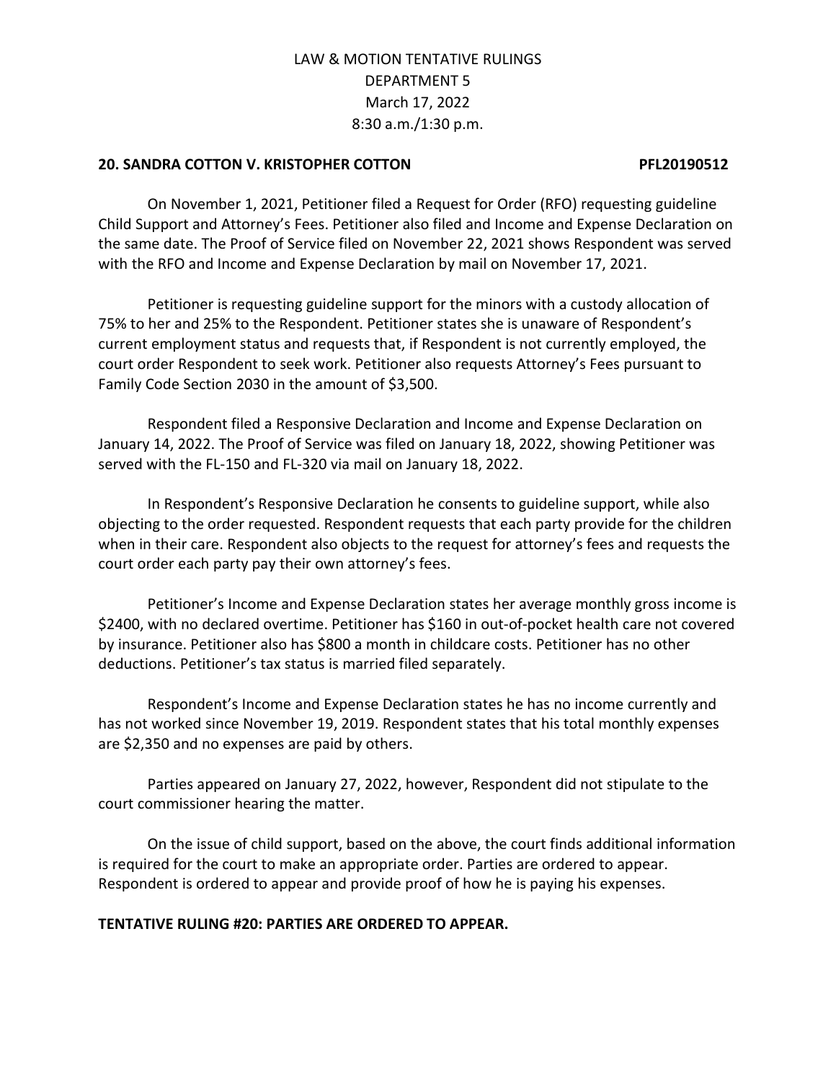## **20. SANDRA COTTON V. KRISTOPHER COTTON PFL20190512**

On November 1, 2021, Petitioner filed a Request for Order (RFO) requesting guideline Child Support and Attorney's Fees. Petitioner also filed and Income and Expense Declaration on the same date. The Proof of Service filed on November 22, 2021 shows Respondent was served with the RFO and Income and Expense Declaration by mail on November 17, 2021.

Petitioner is requesting guideline support for the minors with a custody allocation of 75% to her and 25% to the Respondent. Petitioner states she is unaware of Respondent's current employment status and requests that, if Respondent is not currently employed, the court order Respondent to seek work. Petitioner also requests Attorney's Fees pursuant to Family Code Section 2030 in the amount of \$3,500.

Respondent filed a Responsive Declaration and Income and Expense Declaration on January 14, 2022. The Proof of Service was filed on January 18, 2022, showing Petitioner was served with the FL-150 and FL-320 via mail on January 18, 2022.

In Respondent's Responsive Declaration he consents to guideline support, while also objecting to the order requested. Respondent requests that each party provide for the children when in their care. Respondent also objects to the request for attorney's fees and requests the court order each party pay their own attorney's fees.

Petitioner's Income and Expense Declaration states her average monthly gross income is \$2400, with no declared overtime. Petitioner has \$160 in out-of-pocket health care not covered by insurance. Petitioner also has \$800 a month in childcare costs. Petitioner has no other deductions. Petitioner's tax status is married filed separately.

Respondent's Income and Expense Declaration states he has no income currently and has not worked since November 19, 2019. Respondent states that his total monthly expenses are \$2,350 and no expenses are paid by others.

Parties appeared on January 27, 2022, however, Respondent did not stipulate to the court commissioner hearing the matter.

On the issue of child support, based on the above, the court finds additional information is required for the court to make an appropriate order. Parties are ordered to appear. Respondent is ordered to appear and provide proof of how he is paying his expenses.

## **TENTATIVE RULING #20: PARTIES ARE ORDERED TO APPEAR.**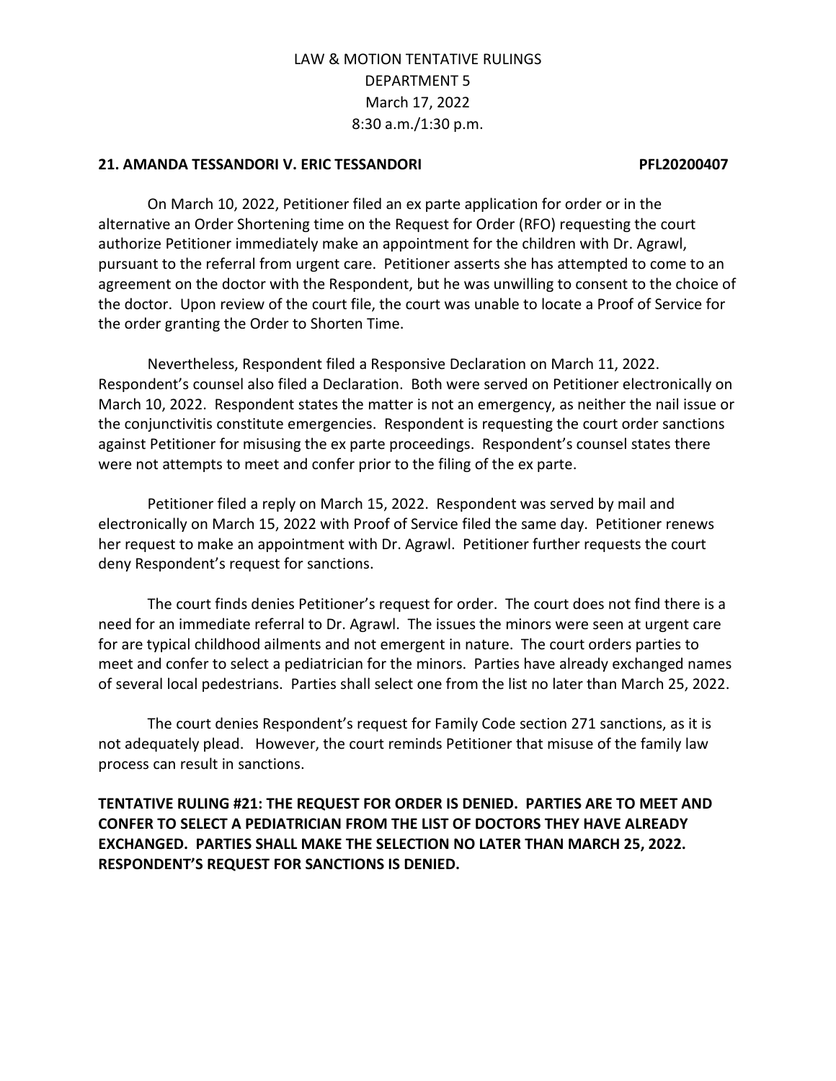## **21. AMANDA TESSANDORI V. ERIC TESSANDORI PFL20200407**

On March 10, 2022, Petitioner filed an ex parte application for order or in the alternative an Order Shortening time on the Request for Order (RFO) requesting the court authorize Petitioner immediately make an appointment for the children with Dr. Agrawl, pursuant to the referral from urgent care. Petitioner asserts she has attempted to come to an agreement on the doctor with the Respondent, but he was unwilling to consent to the choice of the doctor. Upon review of the court file, the court was unable to locate a Proof of Service for the order granting the Order to Shorten Time.

Nevertheless, Respondent filed a Responsive Declaration on March 11, 2022. Respondent's counsel also filed a Declaration. Both were served on Petitioner electronically on March 10, 2022. Respondent states the matter is not an emergency, as neither the nail issue or the conjunctivitis constitute emergencies. Respondent is requesting the court order sanctions against Petitioner for misusing the ex parte proceedings. Respondent's counsel states there were not attempts to meet and confer prior to the filing of the ex parte.

Petitioner filed a reply on March 15, 2022. Respondent was served by mail and electronically on March 15, 2022 with Proof of Service filed the same day. Petitioner renews her request to make an appointment with Dr. Agrawl. Petitioner further requests the court deny Respondent's request for sanctions.

The court finds denies Petitioner's request for order. The court does not find there is a need for an immediate referral to Dr. Agrawl. The issues the minors were seen at urgent care for are typical childhood ailments and not emergent in nature. The court orders parties to meet and confer to select a pediatrician for the minors. Parties have already exchanged names of several local pedestrians. Parties shall select one from the list no later than March 25, 2022.

The court denies Respondent's request for Family Code section 271 sanctions, as it is not adequately plead. However, the court reminds Petitioner that misuse of the family law process can result in sanctions.

**TENTATIVE RULING #21: THE REQUEST FOR ORDER IS DENIED. PARTIES ARE TO MEET AND CONFER TO SELECT A PEDIATRICIAN FROM THE LIST OF DOCTORS THEY HAVE ALREADY EXCHANGED. PARTIES SHALL MAKE THE SELECTION NO LATER THAN MARCH 25, 2022. RESPONDENT'S REQUEST FOR SANCTIONS IS DENIED.**